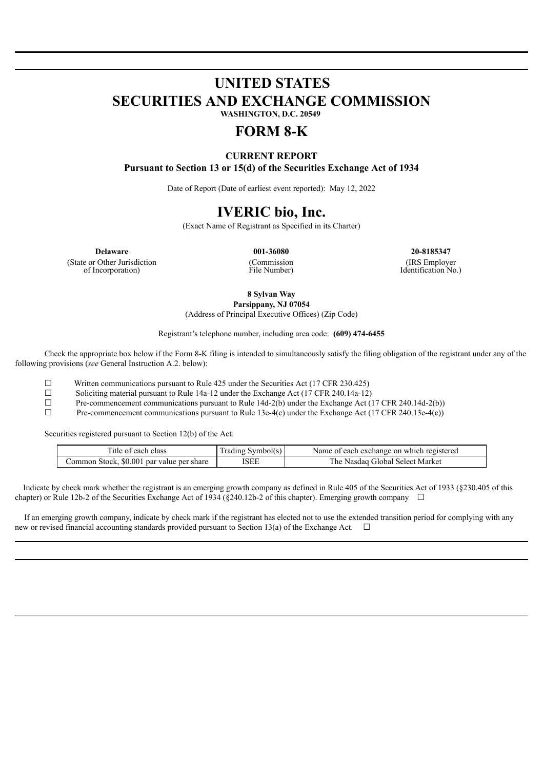### **UNITED STATES SECURITIES AND EXCHANGE COMMISSION WASHINGTON, D.C. 20549**

# **FORM 8-K**

### **CURRENT REPORT Pursuant to Section 13 or 15(d) of the Securities Exchange Act of 1934**

Date of Report (Date of earliest event reported): May 12, 2022

## **IVERIC bio, Inc.**

(Exact Name of Registrant as Specified in its Charter)

(State or Other Jurisdiction of Incorporation)

(Commission File Number)

**Delaware 001-36080 20-8185347** (IRS Employer Identification No.)

**8 Sylvan Way**

**Parsippany, NJ 07054** (Address of Principal Executive Offices) (Zip Code)

Registrant's telephone number, including area code: **(609) 474-6455**

Check the appropriate box below if the Form 8-K filing is intended to simultaneously satisfy the filing obligation of the registrant under any of the following provisions (*see* General Instruction A.2. below):

 $\Box$  Written communications pursuant to Rule 425 under the Securities Act (17 CFR 230.425)

☐ Soliciting material pursuant to Rule 14a-12 under the Exchange Act (17 CFR 240.14a-12)

 $\Box$  Pre-commencement communications pursuant to Rule 14d-2(b) under the Exchange Act (17 CFR 240.14d-2(b))

 $\Box$  Pre-commencement communications pursuant to Rule 13e-4(c) under the Exchange Act (17 CFR 240.13e-4(c))

Securities registered pursuant to Section 12(b) of the Act:

| Title of each class                       | Trading Symbol(s) | Name of each exchange on which registered |
|-------------------------------------------|-------------------|-------------------------------------------|
| Common Stock, \$0.001 par value per share | ISEE              | The Nasdag Global Select Market           |

Indicate by check mark whether the registrant is an emerging growth company as defined in Rule 405 of the Securities Act of 1933 (§230.405 of this chapter) or Rule 12b-2 of the Securities Exchange Act of 1934 (§240.12b-2 of this chapter). Emerging growth company  $\Box$ 

If an emerging growth company, indicate by check mark if the registrant has elected not to use the extended transition period for complying with any new or revised financial accounting standards provided pursuant to Section 13(a) of the Exchange Act.  $\Box$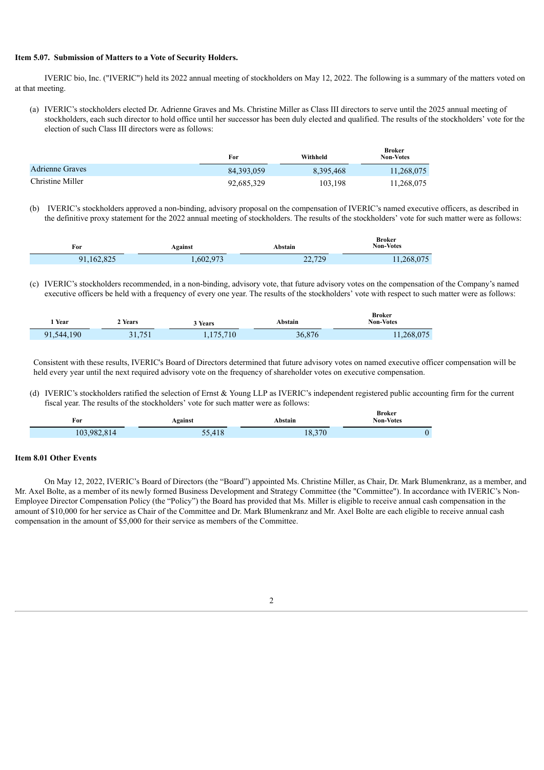#### **Item 5.07. Submission of Matters to a Vote of Security Holders.**

IVERIC bio, Inc. ("IVERIC") held its 2022 annual meeting of stockholders on May 12, 2022. The following is a summary of the matters voted on at that meeting.

(a) IVERIC's stockholders elected Dr. Adrienne Graves and Ms. Christine Miller as Class III directors to serve until the 2025 annual meeting of stockholders, each such director to hold office until her successor has been duly elected and qualified. The results of the stockholders' vote for the election of such Class III directors were as follows:

|                        | For        | Withheld  | Broker<br><b>Non-Votes</b> |
|------------------------|------------|-----------|----------------------------|
| <b>Adrienne Graves</b> | 84.393.059 | 8.395.468 | 11,268,075                 |
| Christine Miller       | 92,685,329 | 103,198   | 11.268.075                 |

(b) IVERIC's stockholders approved a non-binding, advisory proposal on the compensation of IVERIC's named executive officers, as described in the definitive proxy statement for the 2022 annual meeting of stockholders. The results of the stockholders' vote for such matter were as follows:

| For        | Against   | Abstain | Broker<br><b>Non-Votes</b> |
|------------|-----------|---------|----------------------------|
| 91,162,825 | 1,602,973 | 22,729  | 11,268,075                 |

(c) IVERIC's stockholders recommended, in a non-binding, advisory vote, that future advisory votes on the compensation of the Company's named executive officers be held with a frequency of every one year. The results of the stockholders' vote with respect to such matter were as follows:

| Year       | 2 Years | 3 Years   | Abstain | <b>Broker</b><br><b>Non-Votes</b> |
|------------|---------|-----------|---------|-----------------------------------|
| 91,544,190 | 31,751  | 1,175,710 | 36,876  | 11,268,075                        |

Consistent with these results, IVERIC's Board of Directors determined that future advisory votes on named executive officer compensation will be held every year until the next required advisory vote on the frequency of shareholder votes on executive compensation.

(d) IVERIC's stockholders ratified the selection of Ernst & Young LLP as IVERIC's independent registered public accounting firm for the current fiscal year. The results of the stockholders' vote for such matter were as follows:

| For         | Against | Abstain | <b>Broker</b><br><b>Non-Votes</b> |
|-------------|---------|---------|-----------------------------------|
| 103,982,814 | 55,418  | 18,370  | v                                 |

### **Item 8.01 Other Events**

On May 12, 2022, IVERIC's Board of Directors (the "Board") appointed Ms. Christine Miller, as Chair, Dr. Mark Blumenkranz, as a member, and Mr. Axel Bolte, as a member of its newly formed Business Development and Strategy Committee (the "Committee"). In accordance with IVERIC's Non-Employee Director Compensation Policy (the "Policy") the Board has provided that Ms. Miller is eligible to receive annual cash compensation in the amount of \$10,000 for her service as Chair of the Committee and Dr. Mark Blumenkranz and Mr. Axel Bolte are each eligible to receive annual cash compensation in the amount of \$5,000 for their service as members of the Committee.

2